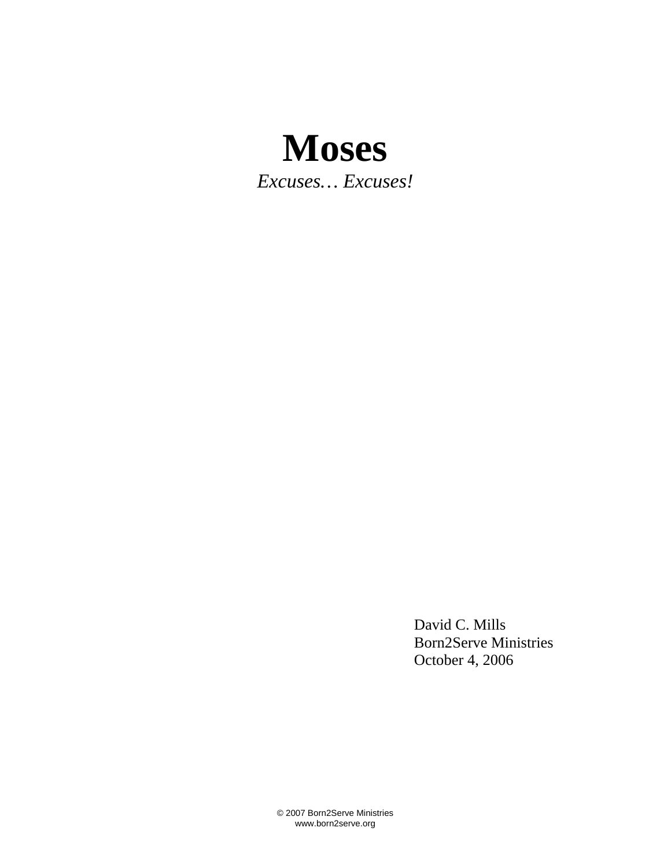## **Moses**

*Excuses… Excuses!* 

 David C. Mills Born2Serve Ministries October 4, 2006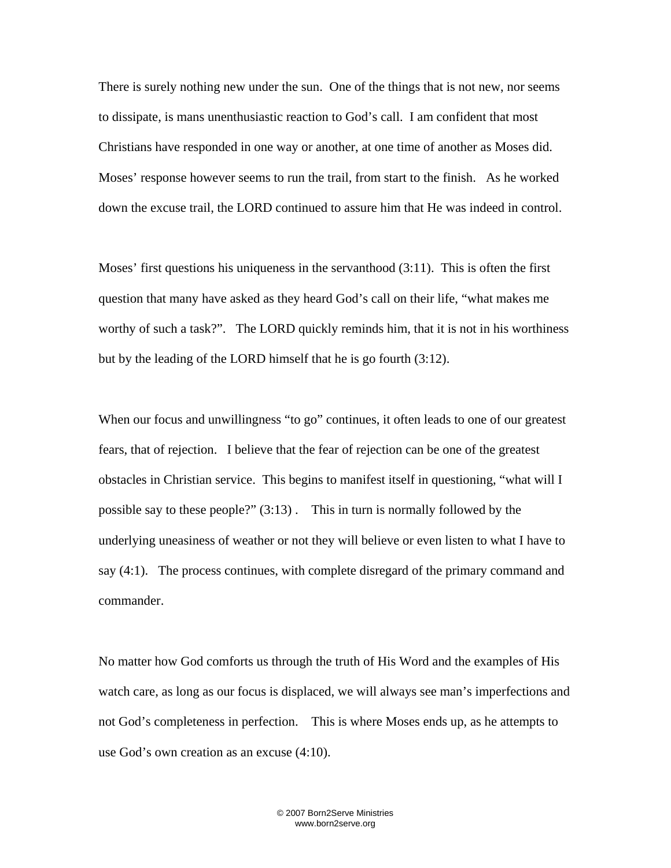There is surely nothing new under the sun. One of the things that is not new, nor seems to dissipate, is mans unenthusiastic reaction to God's call. I am confident that most Christians have responded in one way or another, at one time of another as Moses did. Moses' response however seems to run the trail, from start to the finish. As he worked down the excuse trail, the LORD continued to assure him that He was indeed in control.

Moses' first questions his uniqueness in the servanthood (3:11). This is often the first question that many have asked as they heard God's call on their life, "what makes me worthy of such a task?". The LORD quickly reminds him, that it is not in his worthiness but by the leading of the LORD himself that he is go fourth (3:12).

When our focus and unwillingness "to go" continues, it often leads to one of our greatest fears, that of rejection. I believe that the fear of rejection can be one of the greatest obstacles in Christian service. This begins to manifest itself in questioning, "what will I possible say to these people?" (3:13) . This in turn is normally followed by the underlying uneasiness of weather or not they will believe or even listen to what I have to say (4:1). The process continues, with complete disregard of the primary command and commander.

No matter how God comforts us through the truth of His Word and the examples of His watch care, as long as our focus is displaced, we will always see man's imperfections and not God's completeness in perfection. This is where Moses ends up, as he attempts to use God's own creation as an excuse (4:10).